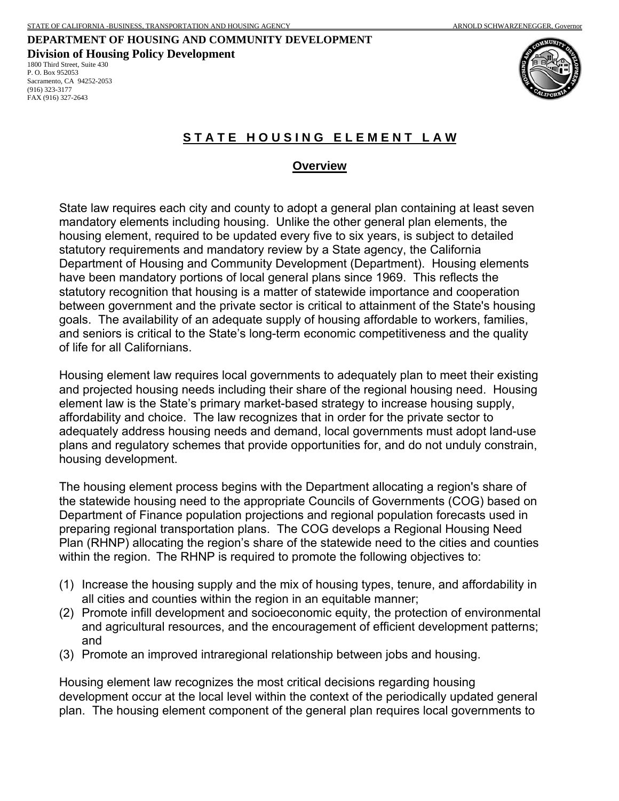# **DEPARTMENT OF HOUSING AND COMMUNITY DEVELOPMENT Division of Housing Policy Development**

1800 Third Street, Suite 430 P. O. Box 952053 Sacramento, CA 94252-2053 (916) 323-3177 FAX (916) 327-2643





# **S T A T E H O U S I N G E L E M E N T L A W**

### **Overview**

State law requires each city and county to adopt a general plan containing at least seven mandatory elements including housing. Unlike the other general plan elements, the housing element, required to be updated every five to six years, is subject to detailed statutory requirements and mandatory review by a State agency, the California Department of Housing and Community Development (Department). Housing elements have been mandatory portions of local general plans since 1969. This reflects the statutory recognition that housing is a matter of statewide importance and cooperation between government and the private sector is critical to attainment of the State's housing goals. The availability of an adequate supply of housing affordable to workers, families, and seniors is critical to the State's long-term economic competitiveness and the quality of life for all Californians.

Housing element law requires local governments to adequately plan to meet their existing and projected housing needs including their share of the regional housing need. Housing element law is the State's primary market-based strategy to increase housing supply, affordability and choice. The law recognizes that in order for the private sector to adequately address housing needs and demand, local governments must adopt land-use plans and regulatory schemes that provide opportunities for, and do not unduly constrain, housing development.

The housing element process begins with the Department allocating a region's share of the statewide housing need to the appropriate Councils of Governments (COG) based on Department of Finance population projections and regional population forecasts used in preparing regional transportation plans. The COG develops a Regional Housing Need Plan (RHNP) allocating the region's share of the statewide need to the cities and counties within the region. The RHNP is required to promote the following objectives to:

- (1) Increase the housing supply and the mix of housing types, tenure, and affordability in all cities and counties within the region in an equitable manner;
- (2) Promote infill development and socioeconomic equity, the protection of environmental and agricultural resources, and the encouragement of efficient development patterns; and
- (3) Promote an improved intraregional relationship between jobs and housing.

Housing element law recognizes the most critical decisions regarding housing development occur at the local level within the context of the periodically updated general plan. The housing element component of the general plan requires local governments to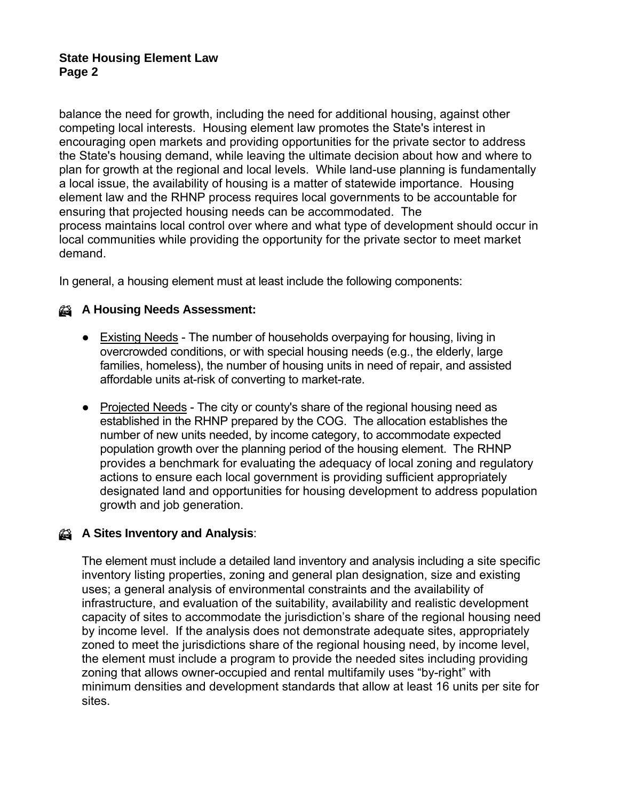## **State Housing Element Law Page 2**

balance the need for growth, including the need for additional housing, against other competing local interests. Housing element law promotes the State's interest in encouraging open markets and providing opportunities for the private sector to address the State's housing demand, while leaving the ultimate decision about how and where to plan for growth at the regional and local levels. While land-use planning is fundamentally a local issue, the availability of housing is a matter of statewide importance. Housing element law and the RHNP process requires local governments to be accountable for ensuring that projected housing needs can be accommodated. The process maintains local control over where and what type of development should occur in local communities while providing the opportunity for the private sector to meet market demand.

In general, a housing element must at least include the following components:

## % **A Housing Needs Assessment:**

- Existing Needs The number of households overpaying for housing, living in overcrowded conditions, or with special housing needs (e.g., the elderly, large families, homeless), the number of housing units in need of repair, and assisted affordable units at-risk of converting to market-rate.
- Projected Needs The city or county's share of the regional housing need as established in the RHNP prepared by the COG. The allocation establishes the number of new units needed, by income category, to accommodate expected population growth over the planning period of the housing element. The RHNP provides a benchmark for evaluating the adequacy of local zoning and regulatory actions to ensure each local government is providing sufficient appropriately designated land and opportunities for housing development to address population growth and job generation.

# % **A Sites Inventory and Analysis**:

The element must include a detailed land inventory and analysis including a site specific inventory listing properties, zoning and general plan designation, size and existing uses; a general analysis of environmental constraints and the availability of infrastructure, and evaluation of the suitability, availability and realistic development capacity of sites to accommodate the jurisdiction's share of the regional housing need by income level. If the analysis does not demonstrate adequate sites, appropriately zoned to meet the jurisdictions share of the regional housing need, by income level, the element must include a program to provide the needed sites including providing zoning that allows owner-occupied and rental multifamily uses "by-right" with minimum densities and development standards that allow at least 16 units per site for sites.